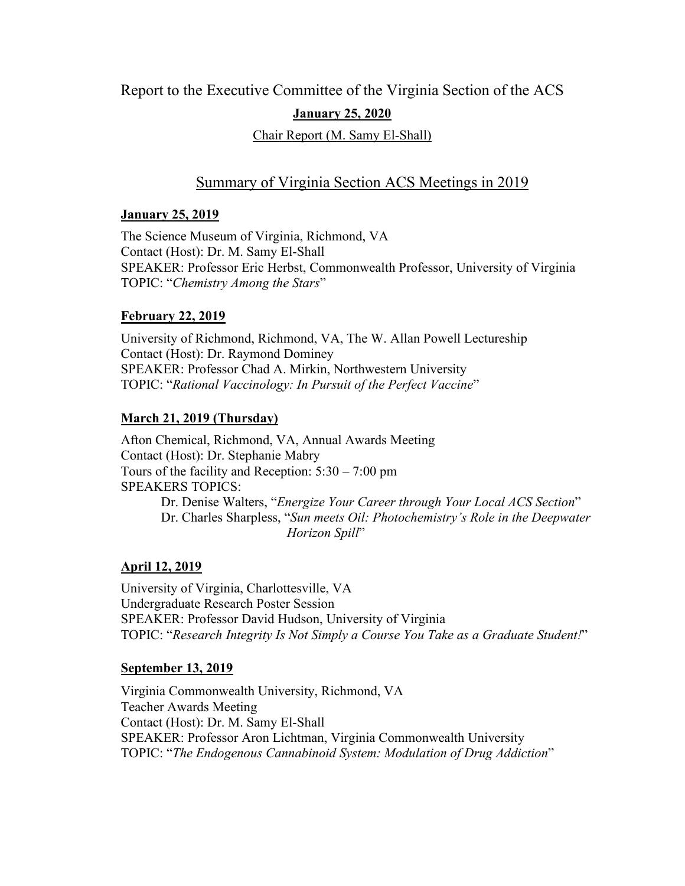## Report to the Executive Committee of the Virginia Section of the ACS

### **January 25, 2020**

#### Chair Report (M. Samy El-Shall)

## Summary of Virginia Section ACS Meetings in 2019

#### **January 25, 2019**

The Science Museum of Virginia, Richmond, VA Contact (Host): Dr. M. Samy El-Shall SPEAKER: Professor Eric Herbst, Commonwealth Professor, University of Virginia TOPIC: "*Chemistry Among the Stars*"

### **February 22, 2019**

University of Richmond, Richmond, VA, The W. Allan Powell Lectureship Contact (Host): Dr. Raymond Dominey SPEAKER: Professor Chad A. Mirkin, Northwestern University TOPIC: "*Rational Vaccinology: In Pursuit of the Perfect Vaccine*"

### **March 21, 2019 (Thursday)**

Afton Chemical, Richmond, VA, Annual Awards Meeting Contact (Host): Dr. Stephanie Mabry Tours of the facility and Reception: 5:30 – 7:00 pm SPEAKERS TOPICS: Dr. Denise Walters, "*Energize Your Career through Your Local ACS Section*" Dr. Charles Sharpless, "*Sun meets Oil: Photochemistry's Role in the Deepwater Horizon Spill*"

# **April 12, 2019**

University of Virginia, Charlottesville, VA Undergraduate Research Poster Session SPEAKER: Professor David Hudson, University of Virginia TOPIC: "*Research Integrity Is Not Simply a Course You Take as a Graduate Student!*"

### **September 13, 2019**

Virginia Commonwealth University, Richmond, VA Teacher Awards Meeting Contact (Host): Dr. M. Samy El-Shall SPEAKER: Professor Aron Lichtman, Virginia Commonwealth University TOPIC: "*The Endogenous Cannabinoid System: Modulation of Drug Addiction*"